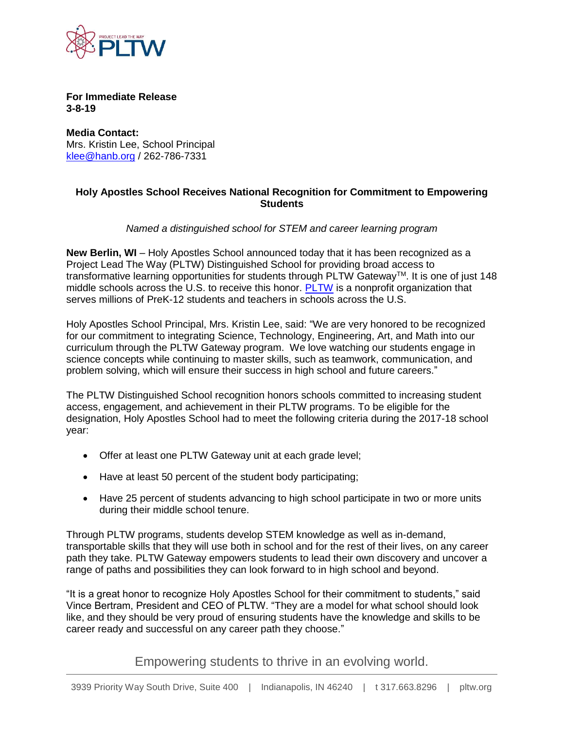

**For Immediate Release 3-8-19**

**Media Contact:** Mrs. Kristin Lee, School Principal [klee@hanb.org](mailto:klee@hanb.org) / 262-786-7331

## **Holy Apostles School Receives National Recognition for Commitment to Empowering Students**

## *Named a distinguished school for STEM and career learning program*

**New Berlin, WI** – Holy Apostles School announced today that it has been recognized as a Project Lead The Way (PLTW) Distinguished School for providing broad access to transformative learning opportunities for students through PLTW Gateway<sup>TM</sup>. It is one of just 148 middle schools across the U.S. to receive this honor. [PLTW](http://www.pltw.org/) is a nonprofit organization that serves millions of PreK-12 students and teachers in schools across the U.S.

Holy Apostles School Principal, Mrs. Kristin Lee, said: "We are very honored to be recognized for our commitment to integrating Science, Technology, Engineering, Art, and Math into our curriculum through the PLTW Gateway program. We love watching our students engage in science concepts while continuing to master skills, such as teamwork, communication, and problem solving, which will ensure their success in high school and future careers."

The PLTW Distinguished School recognition honors schools committed to increasing student access, engagement, and achievement in their PLTW programs. To be eligible for the designation, Holy Apostles School had to meet the following criteria during the 2017-18 school year:

- Offer at least one PLTW Gateway unit at each grade level;
- Have at least 50 percent of the student body participating;
- Have 25 percent of students advancing to high school participate in two or more units during their middle school tenure.

Through PLTW programs, students develop STEM knowledge as well as in-demand, transportable skills that they will use both in school and for the rest of their lives, on any career path they take. PLTW Gateway empowers students to lead their own discovery and uncover a range of paths and possibilities they can look forward to in high school and beyond.

"It is a great honor to recognize Holy Apostles School for their commitment to students," said Vince Bertram, President and CEO of PLTW. "They are a model for what school should look like, and they should be very proud of ensuring students have the knowledge and skills to be career ready and successful on any career path they choose."

Empowering students to thrive in an evolving world.